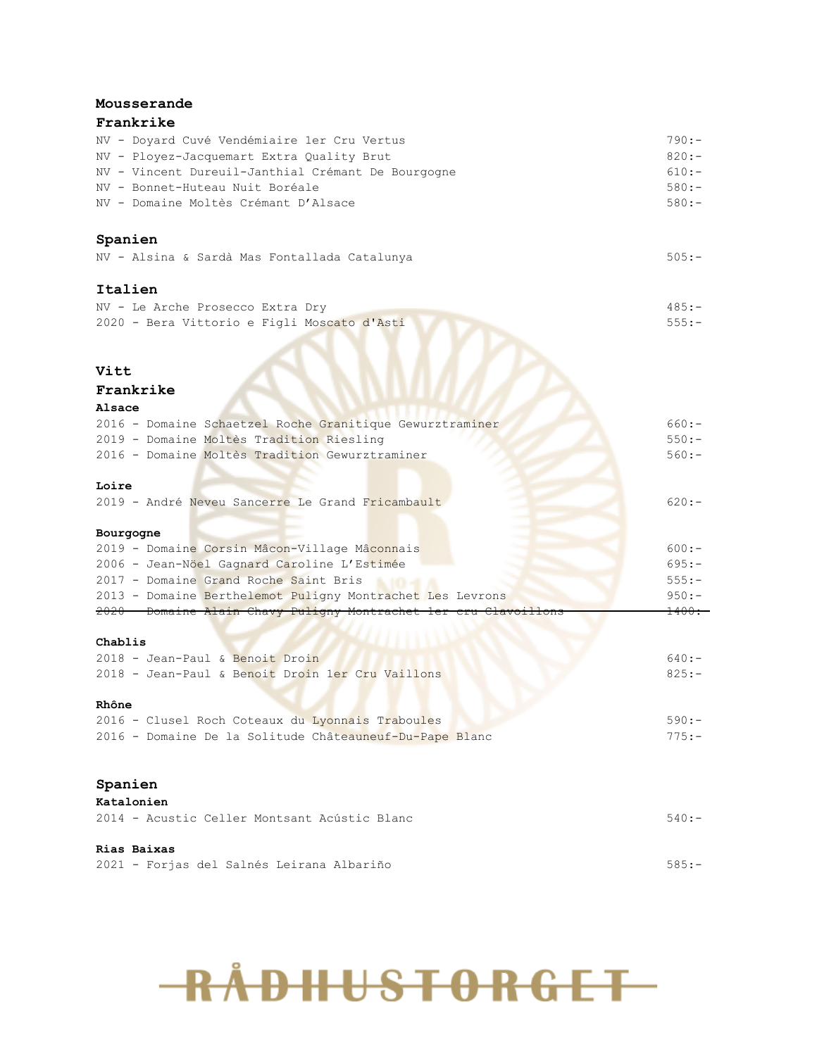#### **Mousserande**

#### **Frankrike**

| NV - Doyard Cuvé Vendémiaire 1er Cru Vertus        | $790:-$ |
|----------------------------------------------------|---------|
| NV - Ployez-Jacquemart Extra Ouality Brut          | $820:-$ |
| NV - Vincent Dureuil-Janthial Crémant De Bourgogne | $610:-$ |
| NV - Bonnet-Huteau Nuit Boréale                    | $580:-$ |
| NV - Domaine Moltès Crémant D'Alsace               | $580:-$ |
|                                                    |         |

#### **Spanien**

|  |  |  |  |  | NV - Alsina & Sardà Mas Fontallada Catalunya |  |  |
|--|--|--|--|--|----------------------------------------------|--|--|
|--|--|--|--|--|----------------------------------------------|--|--|

#### **Italien**

| NV - Le Arche Prosecco Extra Dry            |  |  |  | $485:-$ |
|---------------------------------------------|--|--|--|---------|
| 2020 - Bera Vittorio e Figli Moscato d'Asti |  |  |  | $555:-$ |

#### **Vitt**

#### **Frankrike**

#### **Alsace**

| 2016 - Domaine Schaetzel Roche Granitique Gewurztraminer        | $660:-$  |
|-----------------------------------------------------------------|----------|
| 2019 - Domaine Moltès Tradition Riesling                        | $550:-$  |
| 2016 - Domaine Moltès Tradition Gewurztraminer                  | $560:-$  |
|                                                                 |          |
| Loire                                                           |          |
| 2019 - André Neveu Sancerre Le Grand Fricambault                | $620: -$ |
|                                                                 |          |
| Bourgogne                                                       |          |
| 2019 - Domaine Corsin Mâcon-Village Mâconnais                   | $600:-$  |
| 2006 - Jean-Nöel Gagnard Caroline L'Estimée                     | $695: -$ |
| 2017 - Domaine Grand Roche Saint Bris                           | $555: -$ |
| 2013 - Domaine Berthelemot Puligny Montrachet Les Levrons       | $950:-$  |
| 2020 Domaine Alain Chavy Puligny Montrachet ler cru Clavoillons | 1400.    |
|                                                                 |          |
| Chablis                                                         |          |

#### **Chablis**

| 2018 - Jean-Paul & Benoit Droin                         | $640:-$  |
|---------------------------------------------------------|----------|
| 2018 - Jean-Paul & Benoit Droin 1er Cru Vaillons        | $825:-$  |
|                                                         |          |
| Rhône                                                   |          |
| 2016 - Clusel Roch Coteaux du Lyonnais Traboules        | $590:-$  |
| 2016 - Domaine De la Solitude Châteauneuf-Du-Pape Blanc | $775: -$ |

#### **Spanien**

| Katalonien                                   |         |
|----------------------------------------------|---------|
| 2014 - Acustic Celler Montsant Acústic Blanc | $540:-$ |
| Rias Baixas                                  |         |
| 2021 - Forjas del Salnés Leirana Albariño    | $585:-$ |

# **RÅDHUSTORGET**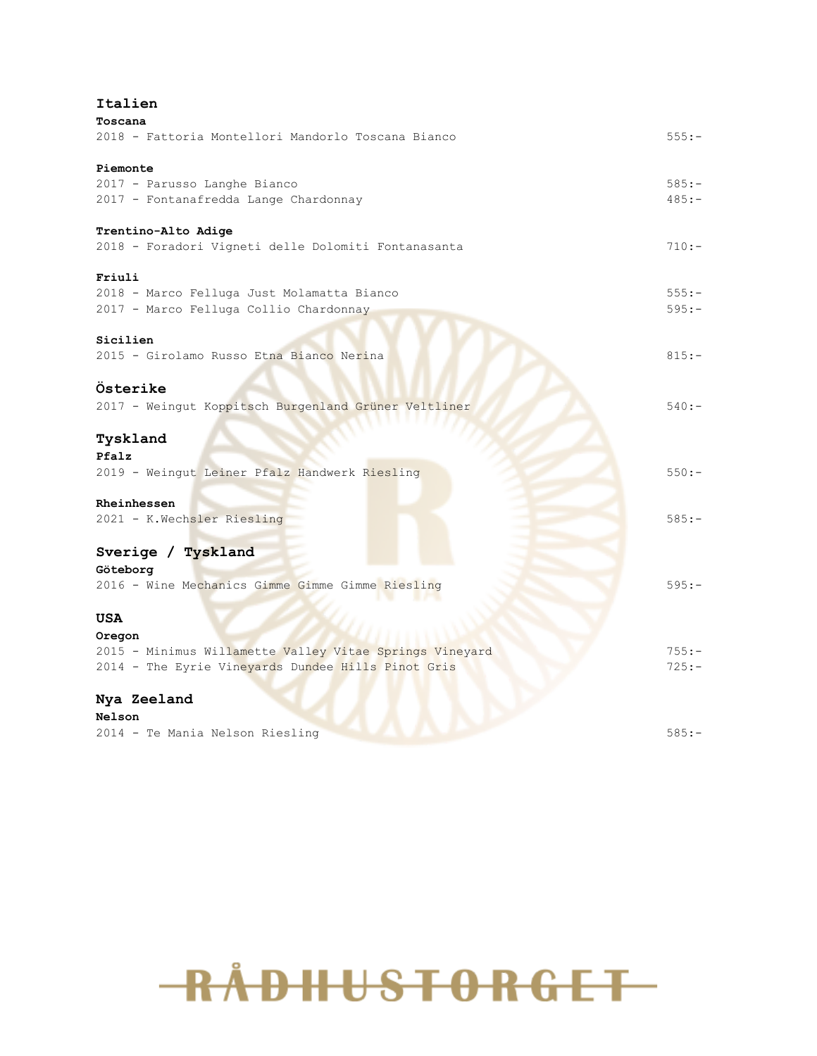### **Italien**

| Toscana                                                 |          |
|---------------------------------------------------------|----------|
| 2018 - Fattoria Montellori Mandorlo Toscana Bianco      | $555: -$ |
| Piemonte                                                |          |
| 2017 - Parusso Langhe Bianco                            | $585:-$  |
| 2017 - Fontanafredda Lange Chardonnay                   | $485:-$  |
| Trentino-Alto Adige                                     |          |
| 2018 - Foradori Vigneti delle Dolomiti Fontanasanta     | $710:-$  |
| Friuli                                                  |          |
| 2018 - Marco Felluga Just Molamatta Bianco              | $555: -$ |
| 2017 - Marco Felluga Collio Chardonnay                  | $595: -$ |
| Sicilien                                                |          |
| 2015 - Girolamo Russo Etna Bianco Nerina                | $815:-$  |
| Österike                                                |          |
| 2017 - Weingut Koppitsch Burgenland Grüner Veltliner    | $540: -$ |
| Tyskland                                                |          |
| Pfalz                                                   |          |
| 2019 - Weingut Leiner Pfalz Handwerk Riesling           | $550:-$  |
| Rheinhessen                                             |          |
| 2021 - K.Wechsler Riesling                              | $585:-$  |
| Sverige / Tyskland                                      |          |
| Göteborg                                                |          |
| 2016 - Wine Mechanics Gimme Gimme Gimme Riesling        | $595: -$ |
|                                                         |          |
| USA                                                     |          |
| Oregon                                                  |          |
| 2015 - Minimus Willamette Valley Vitae Springs Vineyard | $755: -$ |
| 2014 - The Eyrie Vineyards Dundee Hills Pinot Gris      | $725: -$ |
| Nya Zeeland                                             |          |
| Nelson                                                  |          |
| 2014 - Te Mania Nelson Riesling                         | $585: -$ |

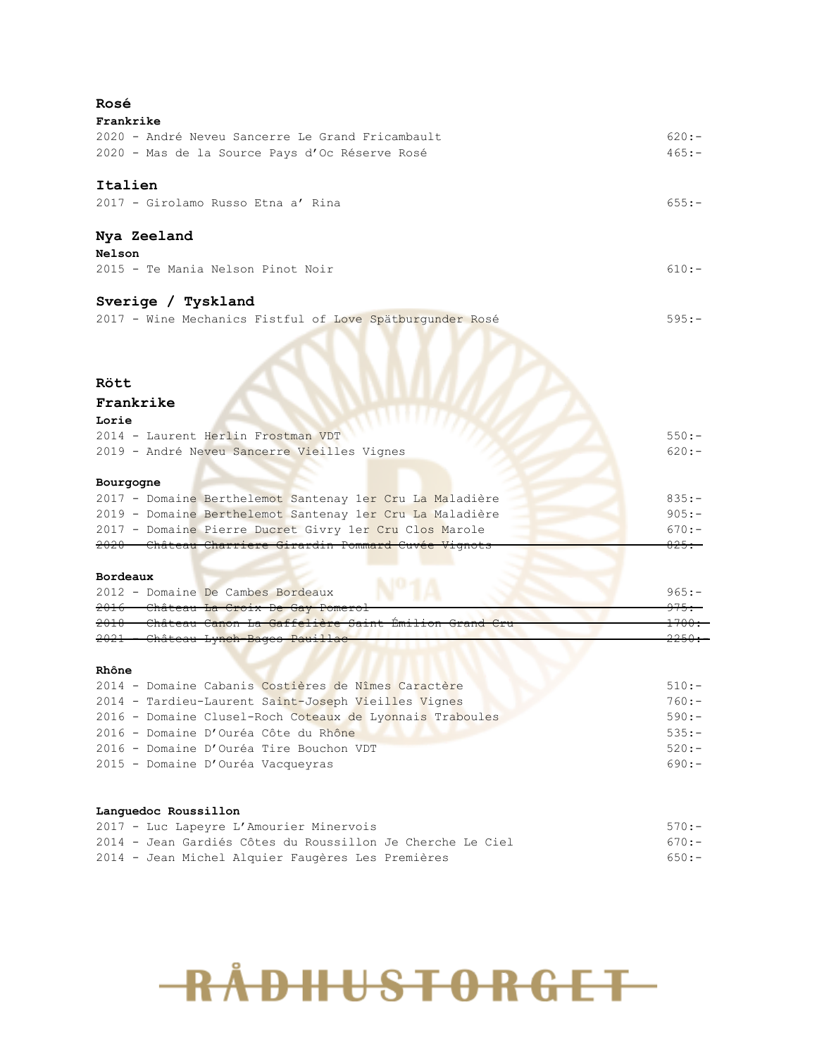| $620:-$<br>$465:-$<br>$655:-$<br>$610:-$<br>$595:-$<br>Rött<br>Frankrike<br>Lorie<br>$550:-$<br>2014 - Laurent Herlin Frostman VDT<br>2019 - André Neveu Sancerre Vieilles Vignes<br>$620:-$<br>Bourgogne<br>2017 - Domaine Berthelemot Santenay 1er Cru La Maladière<br>$835:-$<br>$905:-$<br>2019 - Domaine Berthelemot Santenay 1er Cru La Maladière<br>2017 - Domaine Pierre Ducret Givry 1er Cru Clos Marole<br>$670:-$<br><del>2020 - Château Charriere Girardin Pommard Cuvée Vignots</del><br><del>825.-</del><br>Bordeaux<br>2012 - Domaine De Cambes Bordeaux<br>$965:-$<br>2016 - Château La Croix De Gay Pomerol<br><del>975.</del><br><u> 2010 - Château Canon La Gaffelière Saint Emilion</u><br>2021 - Château Lynch Bages Pauillac<br>2014 - Domaine Cabanis Costières de Nîmes Caractère<br>$510:-$<br>2014 - Tardieu-Laurent Saint-Joseph Vieilles Vignes<br>$760:-$<br>2016 - Domaine Clusel-Roch Coteaux de Lyonnais Traboules<br>$590:-$<br>$535:-$<br>2016 - Domaine D'Ouréa Côte du Rhône<br>$520:-$<br>$690:-$<br>$570:-$<br>$670:-$<br>$650:-$ | Rosé                                                       |  |
|-------------------------------------------------------------------------------------------------------------------------------------------------------------------------------------------------------------------------------------------------------------------------------------------------------------------------------------------------------------------------------------------------------------------------------------------------------------------------------------------------------------------------------------------------------------------------------------------------------------------------------------------------------------------------------------------------------------------------------------------------------------------------------------------------------------------------------------------------------------------------------------------------------------------------------------------------------------------------------------------------------------------------------------------------------------------------|------------------------------------------------------------|--|
|                                                                                                                                                                                                                                                                                                                                                                                                                                                                                                                                                                                                                                                                                                                                                                                                                                                                                                                                                                                                                                                                         | Frankrike                                                  |  |
|                                                                                                                                                                                                                                                                                                                                                                                                                                                                                                                                                                                                                                                                                                                                                                                                                                                                                                                                                                                                                                                                         | 2020 - André Neveu Sancerre Le Grand Fricambault           |  |
|                                                                                                                                                                                                                                                                                                                                                                                                                                                                                                                                                                                                                                                                                                                                                                                                                                                                                                                                                                                                                                                                         | 2020 - Mas de la Source Pays d'Oc Réserve Rosé             |  |
|                                                                                                                                                                                                                                                                                                                                                                                                                                                                                                                                                                                                                                                                                                                                                                                                                                                                                                                                                                                                                                                                         | Italien                                                    |  |
|                                                                                                                                                                                                                                                                                                                                                                                                                                                                                                                                                                                                                                                                                                                                                                                                                                                                                                                                                                                                                                                                         | 2017 - Girolamo Russo Etna a' Rina                         |  |
|                                                                                                                                                                                                                                                                                                                                                                                                                                                                                                                                                                                                                                                                                                                                                                                                                                                                                                                                                                                                                                                                         |                                                            |  |
|                                                                                                                                                                                                                                                                                                                                                                                                                                                                                                                                                                                                                                                                                                                                                                                                                                                                                                                                                                                                                                                                         | Nya Zeeland                                                |  |
|                                                                                                                                                                                                                                                                                                                                                                                                                                                                                                                                                                                                                                                                                                                                                                                                                                                                                                                                                                                                                                                                         | Nelson                                                     |  |
|                                                                                                                                                                                                                                                                                                                                                                                                                                                                                                                                                                                                                                                                                                                                                                                                                                                                                                                                                                                                                                                                         | 2015 - Te Mania Nelson Pinot Noir                          |  |
|                                                                                                                                                                                                                                                                                                                                                                                                                                                                                                                                                                                                                                                                                                                                                                                                                                                                                                                                                                                                                                                                         | Sverige / Tyskland                                         |  |
|                                                                                                                                                                                                                                                                                                                                                                                                                                                                                                                                                                                                                                                                                                                                                                                                                                                                                                                                                                                                                                                                         | 2017 - Wine Mechanics Fistful of Love Spätburgunder Rosé   |  |
|                                                                                                                                                                                                                                                                                                                                                                                                                                                                                                                                                                                                                                                                                                                                                                                                                                                                                                                                                                                                                                                                         |                                                            |  |
|                                                                                                                                                                                                                                                                                                                                                                                                                                                                                                                                                                                                                                                                                                                                                                                                                                                                                                                                                                                                                                                                         |                                                            |  |
|                                                                                                                                                                                                                                                                                                                                                                                                                                                                                                                                                                                                                                                                                                                                                                                                                                                                                                                                                                                                                                                                         |                                                            |  |
|                                                                                                                                                                                                                                                                                                                                                                                                                                                                                                                                                                                                                                                                                                                                                                                                                                                                                                                                                                                                                                                                         |                                                            |  |
|                                                                                                                                                                                                                                                                                                                                                                                                                                                                                                                                                                                                                                                                                                                                                                                                                                                                                                                                                                                                                                                                         |                                                            |  |
|                                                                                                                                                                                                                                                                                                                                                                                                                                                                                                                                                                                                                                                                                                                                                                                                                                                                                                                                                                                                                                                                         |                                                            |  |
|                                                                                                                                                                                                                                                                                                                                                                                                                                                                                                                                                                                                                                                                                                                                                                                                                                                                                                                                                                                                                                                                         |                                                            |  |
|                                                                                                                                                                                                                                                                                                                                                                                                                                                                                                                                                                                                                                                                                                                                                                                                                                                                                                                                                                                                                                                                         |                                                            |  |
|                                                                                                                                                                                                                                                                                                                                                                                                                                                                                                                                                                                                                                                                                                                                                                                                                                                                                                                                                                                                                                                                         |                                                            |  |
|                                                                                                                                                                                                                                                                                                                                                                                                                                                                                                                                                                                                                                                                                                                                                                                                                                                                                                                                                                                                                                                                         |                                                            |  |
|                                                                                                                                                                                                                                                                                                                                                                                                                                                                                                                                                                                                                                                                                                                                                                                                                                                                                                                                                                                                                                                                         |                                                            |  |
|                                                                                                                                                                                                                                                                                                                                                                                                                                                                                                                                                                                                                                                                                                                                                                                                                                                                                                                                                                                                                                                                         |                                                            |  |
|                                                                                                                                                                                                                                                                                                                                                                                                                                                                                                                                                                                                                                                                                                                                                                                                                                                                                                                                                                                                                                                                         |                                                            |  |
|                                                                                                                                                                                                                                                                                                                                                                                                                                                                                                                                                                                                                                                                                                                                                                                                                                                                                                                                                                                                                                                                         |                                                            |  |
|                                                                                                                                                                                                                                                                                                                                                                                                                                                                                                                                                                                                                                                                                                                                                                                                                                                                                                                                                                                                                                                                         |                                                            |  |
|                                                                                                                                                                                                                                                                                                                                                                                                                                                                                                                                                                                                                                                                                                                                                                                                                                                                                                                                                                                                                                                                         |                                                            |  |
|                                                                                                                                                                                                                                                                                                                                                                                                                                                                                                                                                                                                                                                                                                                                                                                                                                                                                                                                                                                                                                                                         |                                                            |  |
|                                                                                                                                                                                                                                                                                                                                                                                                                                                                                                                                                                                                                                                                                                                                                                                                                                                                                                                                                                                                                                                                         | Rhône                                                      |  |
|                                                                                                                                                                                                                                                                                                                                                                                                                                                                                                                                                                                                                                                                                                                                                                                                                                                                                                                                                                                                                                                                         |                                                            |  |
|                                                                                                                                                                                                                                                                                                                                                                                                                                                                                                                                                                                                                                                                                                                                                                                                                                                                                                                                                                                                                                                                         |                                                            |  |
|                                                                                                                                                                                                                                                                                                                                                                                                                                                                                                                                                                                                                                                                                                                                                                                                                                                                                                                                                                                                                                                                         |                                                            |  |
|                                                                                                                                                                                                                                                                                                                                                                                                                                                                                                                                                                                                                                                                                                                                                                                                                                                                                                                                                                                                                                                                         |                                                            |  |
|                                                                                                                                                                                                                                                                                                                                                                                                                                                                                                                                                                                                                                                                                                                                                                                                                                                                                                                                                                                                                                                                         | 2016 - Domaine D'Ouréa Tire Bouchon VDT                    |  |
|                                                                                                                                                                                                                                                                                                                                                                                                                                                                                                                                                                                                                                                                                                                                                                                                                                                                                                                                                                                                                                                                         | 2015 - Domaine D'Ouréa Vacqueyras                          |  |
|                                                                                                                                                                                                                                                                                                                                                                                                                                                                                                                                                                                                                                                                                                                                                                                                                                                                                                                                                                                                                                                                         | Languedoc Roussillon                                       |  |
|                                                                                                                                                                                                                                                                                                                                                                                                                                                                                                                                                                                                                                                                                                                                                                                                                                                                                                                                                                                                                                                                         | 2017 - Luc Lapeyre L'Amourier Minervois                    |  |
|                                                                                                                                                                                                                                                                                                                                                                                                                                                                                                                                                                                                                                                                                                                                                                                                                                                                                                                                                                                                                                                                         | 2014 - Jean Gardiés Côtes du Roussillon Je Cherche Le Ciel |  |
|                                                                                                                                                                                                                                                                                                                                                                                                                                                                                                                                                                                                                                                                                                                                                                                                                                                                                                                                                                                                                                                                         | 2014 - Jean Michel Alquier Faugères Les Premières          |  |

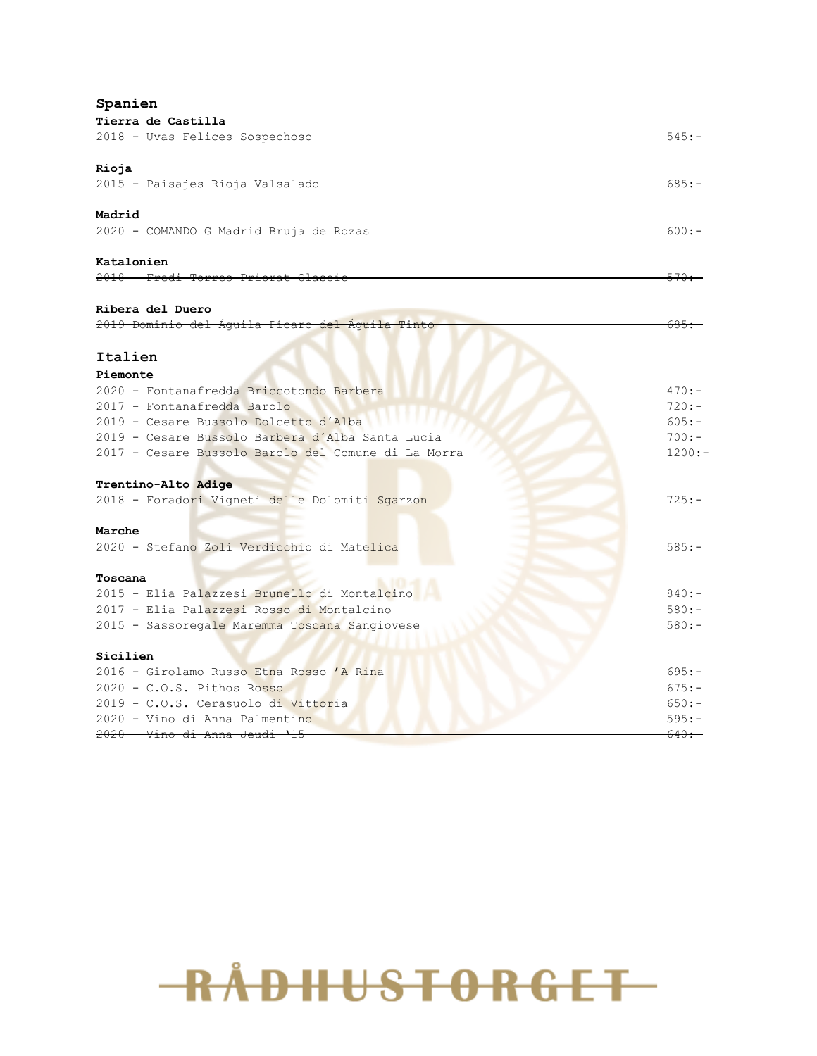| Spanien                                                                        |                   |
|--------------------------------------------------------------------------------|-------------------|
| Tierra de Castilla                                                             |                   |
| 2018 - Uvas Felices Sospechoso                                                 | $545: -$          |
| Rioja                                                                          |                   |
| 2015 - Paisajes Rioja Valsalado                                                | $685:-$           |
| Madrid                                                                         |                   |
| 2020 - COMANDO G Madrid Bruja de Rozas                                         | $600:-$           |
| Katalonien<br>2018 Fredi Torres Priorat Classi                                 |                   |
|                                                                                |                   |
| Ribera del Duero<br><del>2019 Dominio del Àguila Pícaro del Àguila Tinto</del> |                   |
|                                                                                |                   |
| Italien                                                                        |                   |
| Piemonte                                                                       |                   |
| 2020 - Fontanafredda Briccotondo Barbera                                       | $470:-$           |
| 2017 - Fontanafredda Barolo                                                    | $720:-$           |
| 2019 - Cesare Bussolo Dolcetto d'Alba                                          | $605:-$           |
| 2019 - Cesare Bussolo Barbera d'Alba Santa Lucia                               | $700:-$           |
| 2017 - Cesare Bussolo Barolo del Comune di La Morra                            | $1200:-$          |
| Trentino-Alto Adige                                                            |                   |
| 2018 - Foradori Vigneti delle Dolomiti Sgarzon                                 | $725: -$          |
| Marche                                                                         |                   |
| 2020 - Stefano Zoli Verdicchio di Matelica                                     | $585:-$           |
| Toscana                                                                        |                   |
| 2015 - Elia Palazzesi Brunello di Montalcino                                   | $840:-$           |
| 2017 - Elia Palazzesi Rosso di Montalcino                                      | $580:-$           |
| 2015 - Sassoregale Maremma Toscana Sangiovese                                  | $580:-$           |
| Sicilien                                                                       |                   |
| 2016 - Girolamo Russo Etna Rosso 'A Rina                                       | $695:-$           |
| $2020 - C.0.S.$ Pithos Rosso                                                   | $675: -$          |
| 2019 - C.O.S. Cerasuolo di Vittoria                                            | $650:-$           |
| 2020 - Vino di Anna Palmentino                                                 | $595: -$          |
| 2020 - Vino di Anna Jeudi                                                      | <del>640. -</del> |

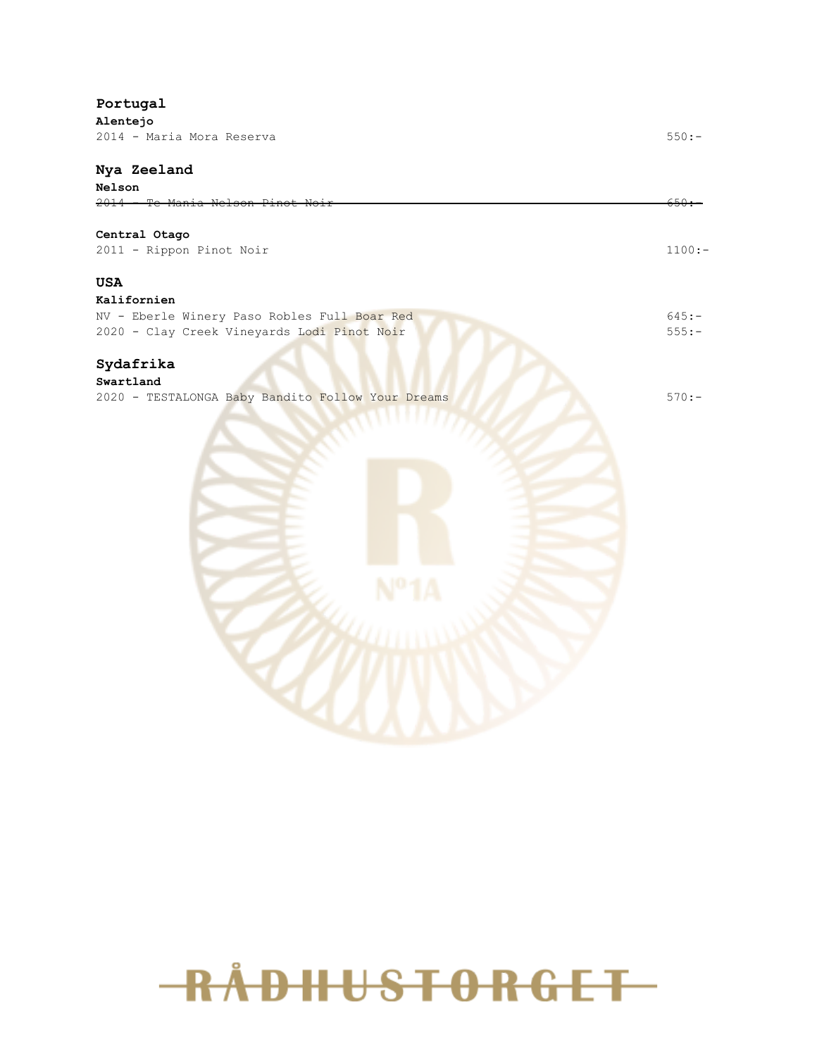#### **Portugal**

**Alentejo** 2014 - Maria Mora Reserva 550:-

#### **Nya Zeeland**

## **Nelson** 2014 - Te Mania Nelson Pinot Noir 650:- **Central Otago** 2011 - Rippon Pinot Noir 1100:- **USA Kalifornien** NV - Eberle Winery Paso Robles Full Boar Red 645:- 2020 - Clay Creek Vineyards Lodi Pinot Noir 555:-**Sydafrika Swartland** 2020 - TESTALONGA Baby Bandito Follow Your Dreams 570:-